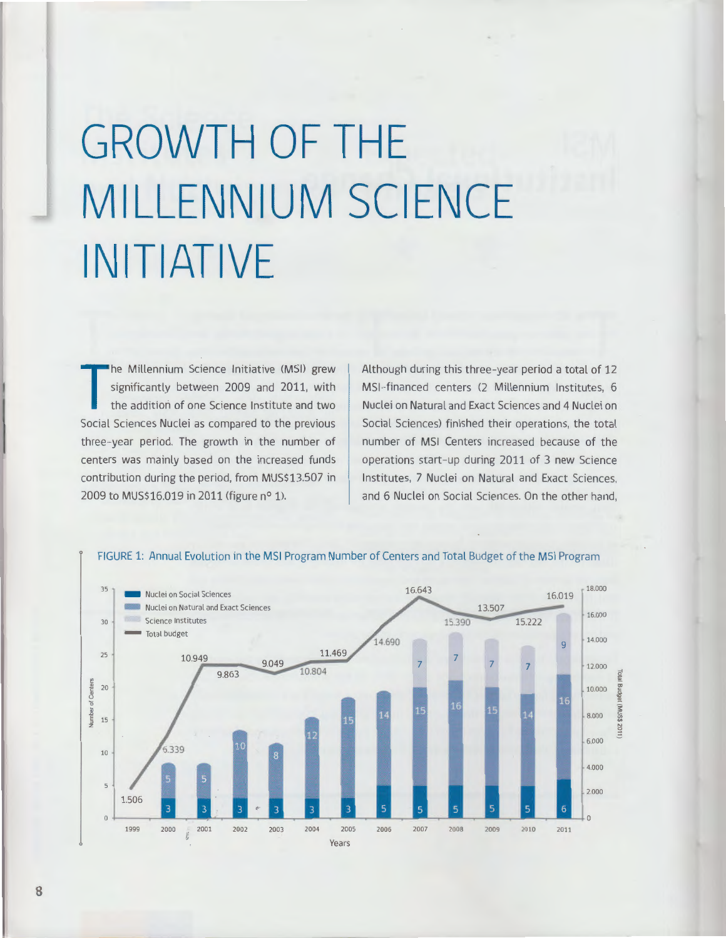## **GROWTH OF THE MILLENNIUM SCIENCE INITIATIVE**

The Millennium Science Initiative (MSI) grew<br>significantly between 2009 and 2011, with<br>the addition of one Science Institute and two<br>Social Sciences Nuclei as compared to the previous he Millennium Science Initiative (MS!) grew significantly between 2009 and 2011, with the addition of one Science Institute and two three-year period. The growth in the number of centers was mainly based on the increased funds contribution during the period, from MUS\$13.507 in 2009 to MUS\$16.019 in 2011 (figure n° 1).

Although during this three-year period a total of 12 MSl-financed centers (2 Millennium Institutes, 6 Nuclei on Natural and Exact Sciences and 4 Nuclei on Social Sciences) finished their operations, the total number of MS! Centers increased because of the operations start-up during 2011 of 3 new Science Institutes, 7 Nuclei on Natural and Exact Sciences, and 6 Nuclei on Social Sciences. On the other hand,